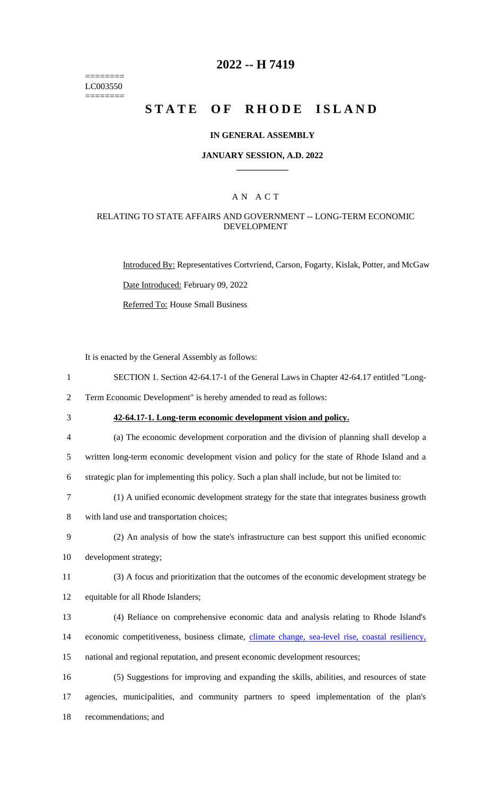======== LC003550 ========

### **2022 -- H 7419**

# **STATE OF RHODE ISLAND**

#### **IN GENERAL ASSEMBLY**

#### **JANUARY SESSION, A.D. 2022 \_\_\_\_\_\_\_\_\_\_\_\_**

### A N A C T

### RELATING TO STATE AFFAIRS AND GOVERNMENT -- LONG-TERM ECONOMIC DEVELOPMENT

Introduced By: Representatives Cortvriend, Carson, Fogarty, Kislak, Potter, and McGaw Date Introduced: February 09, 2022 Referred To: House Small Business

It is enacted by the General Assembly as follows:

1 SECTION 1. Section 42-64.17-1 of the General Laws in Chapter 42-64.17 entitled "Long-

2 Term Economic Development" is hereby amended to read as follows:

3 **42-64.17-1. Long-term economic development vision and policy.**

4 (a) The economic development corporation and the division of planning shall develop a

5 written long-term economic development vision and policy for the state of Rhode Island and a

- 6 strategic plan for implementing this policy. Such a plan shall include, but not be limited to:
- 7 (1) A unified economic development strategy for the state that integrates business growth
- 8 with land use and transportation choices;
- 9 (2) An analysis of how the state's infrastructure can best support this unified economic
- 10 development strategy;
- 11 (3) A focus and prioritization that the outcomes of the economic development strategy be

12 equitable for all Rhode Islanders;

13 (4) Reliance on comprehensive economic data and analysis relating to Rhode Island's 14 economic competitiveness, business climate, climate change, sea-level rise, coastal resiliency, 15 national and regional reputation, and present economic development resources;

16 (5) Suggestions for improving and expanding the skills, abilities, and resources of state 17 agencies, municipalities, and community partners to speed implementation of the plan's 18 recommendations; and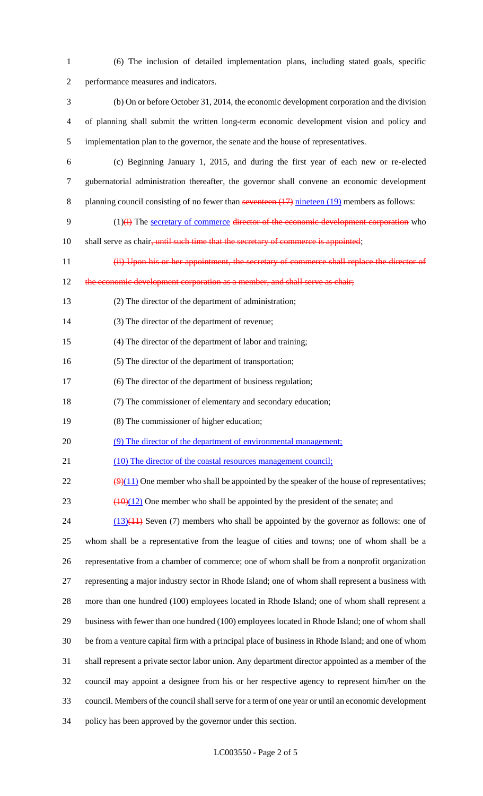| $\mathbf{1}$   | (6) The inclusion of detailed implementation plans, including stated goals, specific                          |
|----------------|---------------------------------------------------------------------------------------------------------------|
| $\overline{2}$ | performance measures and indicators.                                                                          |
| 3              | (b) On or before October 31, 2014, the economic development corporation and the division                      |
| 4              | of planning shall submit the written long-term economic development vision and policy and                     |
| 5              | implementation plan to the governor, the senate and the house of representatives.                             |
| 6              | (c) Beginning January 1, 2015, and during the first year of each new or re-elected                            |
| 7              | gubernatorial administration thereafter, the governor shall convene an economic development                   |
| 8              | planning council consisting of no fewer than seventeen $(17)$ nineteen $(19)$ members as follows:             |
| 9              | $(1)(i)$ The secretary of commerce director of the economic development corporation who                       |
| 10             | shall serve as chair, until such time that the secretary of commerce is appointed;                            |
| 11             | (ii) Upon his or her appointment, the secretary of commerce shall replace the director of                     |
| 12             | the economic development corporation as a member, and shall serve as chair;                                   |
| 13             | (2) The director of the department of administration;                                                         |
| 14             | (3) The director of the department of revenue;                                                                |
| 15             | (4) The director of the department of labor and training;                                                     |
| 16             | (5) The director of the department of transportation;                                                         |
| 17             | (6) The director of the department of business regulation;                                                    |
| 18             | (7) The commissioner of elementary and secondary education;                                                   |
| 19             | (8) The commissioner of higher education;                                                                     |
| 20             | (9) The director of the department of environmental management;                                               |
| 21             | (10) The director of the coastal resources management council;                                                |
| 22             | $\left(\frac{9}{11}\right)$ One member who shall be appointed by the speaker of the house of representatives; |
| 23             | $\frac{(10)(12)}{(10)(12)}$ One member who shall be appointed by the president of the senate; and             |
| 24             | $(13)(11)$ Seven (7) members who shall be appointed by the governor as follows: one of                        |
| 25             | whom shall be a representative from the league of cities and towns; one of whom shall be a                    |
| 26             | representative from a chamber of commerce; one of whom shall be from a nonprofit organization                 |
| 27             | representing a major industry sector in Rhode Island; one of whom shall represent a business with             |
| 28             | more than one hundred (100) employees located in Rhode Island; one of whom shall represent a                  |
| 29             | business with fewer than one hundred (100) employees located in Rhode Island; one of whom shall               |
| 30             | be from a venture capital firm with a principal place of business in Rhode Island; and one of whom            |
| 31             | shall represent a private sector labor union. Any department director appointed as a member of the            |
| 32             | council may appoint a designee from his or her respective agency to represent him/her on the                  |
| 33             | council. Members of the council shall serve for a term of one year or until an economic development           |
| 34             | policy has been approved by the governor under this section.                                                  |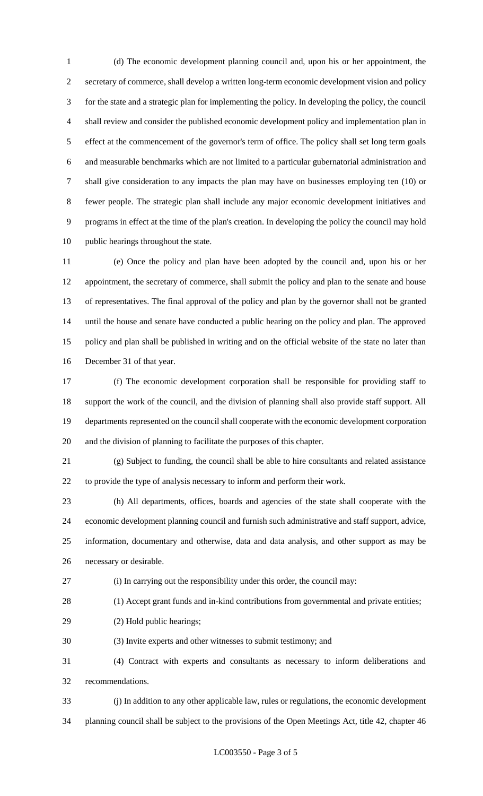(d) The economic development planning council and, upon his or her appointment, the secretary of commerce, shall develop a written long-term economic development vision and policy for the state and a strategic plan for implementing the policy. In developing the policy, the council shall review and consider the published economic development policy and implementation plan in effect at the commencement of the governor's term of office. The policy shall set long term goals and measurable benchmarks which are not limited to a particular gubernatorial administration and shall give consideration to any impacts the plan may have on businesses employing ten (10) or fewer people. The strategic plan shall include any major economic development initiatives and programs in effect at the time of the plan's creation. In developing the policy the council may hold public hearings throughout the state.

 (e) Once the policy and plan have been adopted by the council and, upon his or her appointment, the secretary of commerce, shall submit the policy and plan to the senate and house of representatives. The final approval of the policy and plan by the governor shall not be granted until the house and senate have conducted a public hearing on the policy and plan. The approved policy and plan shall be published in writing and on the official website of the state no later than December 31 of that year.

 (f) The economic development corporation shall be responsible for providing staff to support the work of the council, and the division of planning shall also provide staff support. All departments represented on the council shall cooperate with the economic development corporation and the division of planning to facilitate the purposes of this chapter.

 (g) Subject to funding, the council shall be able to hire consultants and related assistance to provide the type of analysis necessary to inform and perform their work.

 (h) All departments, offices, boards and agencies of the state shall cooperate with the economic development planning council and furnish such administrative and staff support, advice, information, documentary and otherwise, data and data analysis, and other support as may be necessary or desirable.

(i) In carrying out the responsibility under this order, the council may:

(1) Accept grant funds and in-kind contributions from governmental and private entities;

- (2) Hold public hearings;
- (3) Invite experts and other witnesses to submit testimony; and

 (4) Contract with experts and consultants as necessary to inform deliberations and recommendations.

(j) In addition to any other applicable law, rules or regulations, the economic development

planning council shall be subject to the provisions of the Open Meetings Act, title 42, chapter 46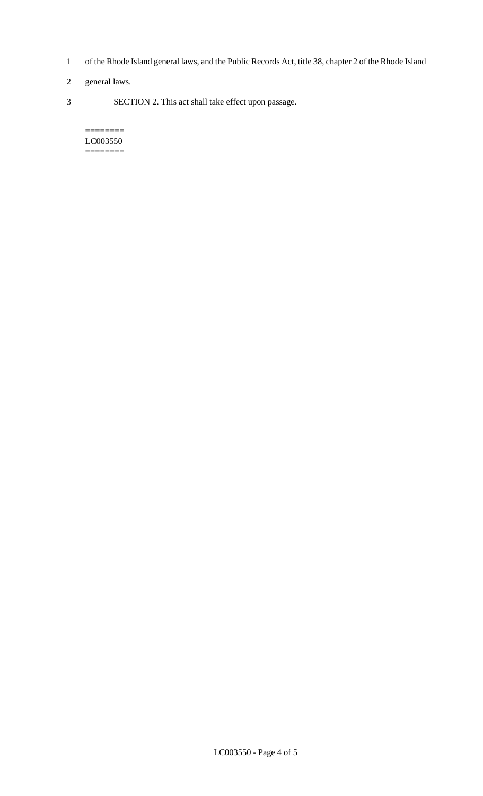- 1 of the Rhode Island general laws, and the Public Records Act, title 38, chapter 2 of the Rhode Island
- 2 general laws.
- 3 SECTION 2. This act shall take effect upon passage.

#### $=$ LC003550 ========